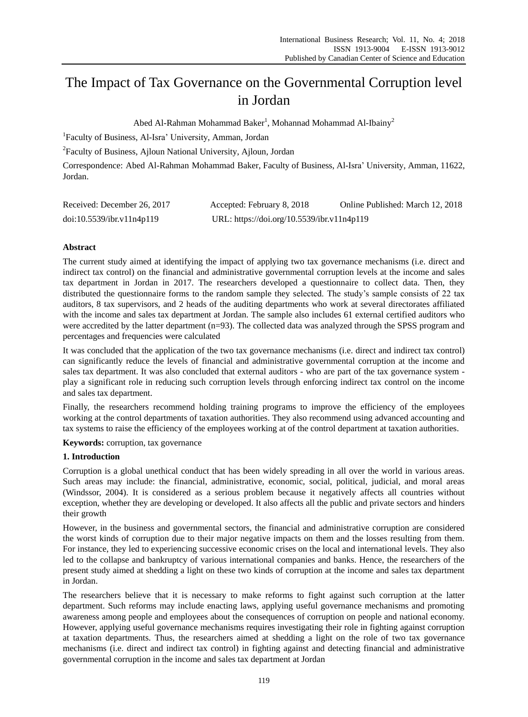# The Impact of Tax Governance on the Governmental Corruption level in Jordan

Abed Al-Rahman Mohammad Baker<sup>1</sup>, Mohannad Mohammad Al-Ibainy<sup>2</sup>

<sup>1</sup>Faculty of Business, Al-Isra' University, Amman, Jordan

<sup>2</sup> Faculty of Business, Ajloun National University, Ajloun, Jordan

Correspondence: Abed Al-Rahman Mohammad Baker, Faculty of Business, Al-Isra' University, Amman, 11622, Jordan.

| Received: December 26, 2017 | Accepted: February 8, 2018                 | Online Published: March 12, 2018 |
|-----------------------------|--------------------------------------------|----------------------------------|
| doi:10.5539/ibr.v11n4p119   | URL: https://doi.org/10.5539/ibr.v11n4p119 |                                  |

## **Abstract**

The current study aimed at identifying the impact of applying two tax governance mechanisms (i.e. direct and indirect tax control) on the financial and administrative governmental corruption levels at the income and sales tax department in Jordan in 2017. The researchers developed a questionnaire to collect data. Then, they distributed the questionnaire forms to the random sample they selected. The study's sample consists of 22 tax auditors, 8 tax supervisors, and 2 heads of the auditing departments who work at several directorates affiliated with the income and sales tax department at Jordan. The sample also includes 61 external certified auditors who were accredited by the latter department (n=93). The collected data was analyzed through the SPSS program and percentages and frequencies were calculated

It was concluded that the application of the two tax governance mechanisms (i.e. direct and indirect tax control) can significantly reduce the levels of financial and administrative governmental corruption at the income and sales tax department. It was also concluded that external auditors - who are part of the tax governance system play a significant role in reducing such corruption levels through enforcing indirect tax control on the income and sales tax department.

Finally, the researchers recommend holding training programs to improve the efficiency of the employees working at the control departments of taxation authorities. They also recommend using advanced accounting and tax systems to raise the efficiency of the employees working at of the control department at taxation authorities.

**Keywords:** corruption, tax governance

## **1. Introduction**

Corruption is a global unethical conduct that has been widely spreading in all over the world in various areas. Such areas may include: the financial, administrative, economic, social, political, judicial, and moral areas (Windssor, 2004). It is considered as a serious problem because it negatively affects all countries without exception, whether they are developing or developed. It also affects all the public and private sectors and hinders their growth

However, in the business and governmental sectors, the financial and administrative corruption are considered the worst kinds of corruption due to their major negative impacts on them and the losses resulting from them. For instance, they led to experiencing successive economic crises on the local and international levels. They also led to the collapse and bankruptcy of various international companies and banks. Hence, the researchers of the present study aimed at shedding a light on these two kinds of corruption at the income and sales tax department in Jordan.

The researchers believe that it is necessary to make reforms to fight against such corruption at the latter department. Such reforms may include enacting laws, applying useful governance mechanisms and promoting awareness among people and employees about the consequences of corruption on people and national economy. However, applying useful governance mechanisms requires investigating their role in fighting against corruption at taxation departments. Thus, the researchers aimed at shedding a light on the role of two tax governance mechanisms (i.e. direct and indirect tax control) in fighting against and detecting financial and administrative governmental corruption in the income and sales tax department at Jordan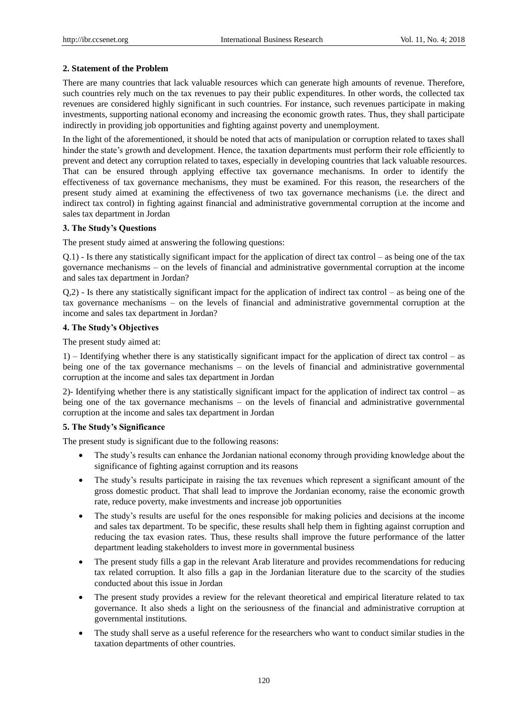#### **2. Statement of the Problem**

There are many countries that lack valuable resources which can generate high amounts of revenue. Therefore, such countries rely much on the tax revenues to pay their public expenditures. In other words, the collected tax revenues are considered highly significant in such countries. For instance, such revenues participate in making investments, supporting national economy and increasing the economic growth rates. Thus, they shall participate indirectly in providing job opportunities and fighting against poverty and unemployment.

In the light of the aforementioned, it should be noted that acts of manipulation or corruption related to taxes shall hinder the state's growth and development. Hence, the taxation departments must perform their role efficiently to prevent and detect any corruption related to taxes, especially in developing countries that lack valuable resources. That can be ensured through applying effective tax governance mechanisms. In order to identify the effectiveness of tax governance mechanisms, they must be examined. For this reason, the researchers of the present study aimed at examining the effectiveness of two tax governance mechanisms (i.e. the direct and indirect tax control) in fighting against financial and administrative governmental corruption at the income and sales tax department in Jordan

#### **3. The Study's Questions**

The present study aimed at answering the following questions:

Q.1) - Is there any statistically significant impact for the application of direct tax control – as being one of the tax governance mechanisms – on the levels of financial and administrative governmental corruption at the income and sales tax department in Jordan?

Q,2) - Is there any statistically significant impact for the application of indirect tax control – as being one of the tax governance mechanisms – on the levels of financial and administrative governmental corruption at the income and sales tax department in Jordan?

## **4. The Study's Objectives**

The present study aimed at:

1) – Identifying whether there is any statistically significant impact for the application of direct tax control – as being one of the tax governance mechanisms – on the levels of financial and administrative governmental corruption at the income and sales tax department in Jordan

2)- Identifying whether there is any statistically significant impact for the application of indirect tax control – as being one of the tax governance mechanisms – on the levels of financial and administrative governmental corruption at the income and sales tax department in Jordan

#### **5. The Study's Significance**

The present study is significant due to the following reasons:

- The study's results can enhance the Jordanian national economy through providing knowledge about the significance of fighting against corruption and its reasons
- The study's results participate in raising the tax revenues which represent a significant amount of the gross domestic product. That shall lead to improve the Jordanian economy, raise the economic growth rate, reduce poverty, make investments and increase job opportunities
- The study's results are useful for the ones responsible for making policies and decisions at the income and sales tax department. To be specific, these results shall help them in fighting against corruption and reducing the tax evasion rates. Thus, these results shall improve the future performance of the latter department leading stakeholders to invest more in governmental business
- The present study fills a gap in the relevant Arab literature and provides recommendations for reducing tax related corruption. It also fills a gap in the Jordanian literature due to the scarcity of the studies conducted about this issue in Jordan
- The present study provides a review for the relevant theoretical and empirical literature related to tax governance. It also sheds a light on the seriousness of the financial and administrative corruption at governmental institutions.
- The study shall serve as a useful reference for the researchers who want to conduct similar studies in the taxation departments of other countries.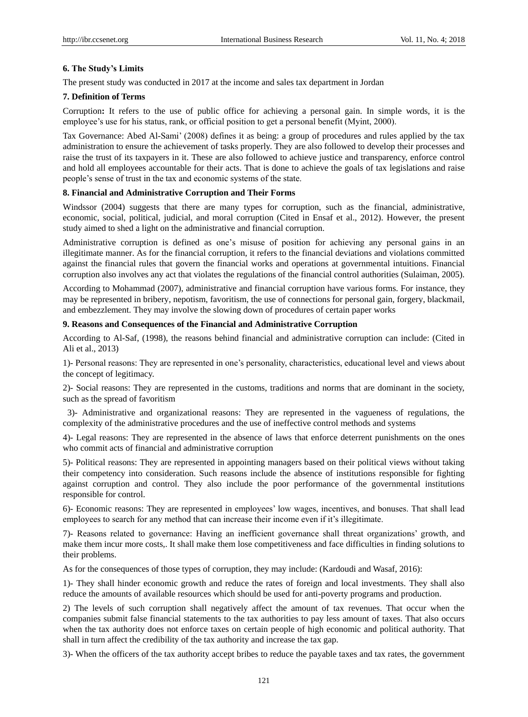#### **6. The Study's Limits**

The present study was conducted in 2017 at the income and sales tax department in Jordan

## **7. Definition of Terms**

Corruption**:** It refers to the use of public office for achieving a personal gain. In simple words, it is the employee's use for his status, rank, or official position to get a personal benefit (Myint, 2000).

Tax Governance: Abed Al-Sami' (2008) defines it as being: a group of procedures and rules applied by the tax administration to ensure the achievement of tasks properly. They are also followed to develop their processes and raise the trust of its taxpayers in it. These are also followed to achieve justice and transparency, enforce control and hold all employees accountable for their acts. That is done to achieve the goals of tax legislations and raise people's sense of trust in the tax and economic systems of the state.

#### **8. Financial and Administrative Corruption and Their Forms**

Windssor (2004) suggests that there are many types for corruption, such as the financial, administrative, economic, social, political, judicial, and moral corruption (Cited in Ensaf et al., 2012). However, the present study aimed to shed a light on the administrative and financial corruption.

Administrative corruption is defined as one's misuse of position for achieving any personal gains in an illegitimate manner. As for the financial corruption, it refers to the financial deviations and violations committed against the financial rules that govern the financial works and operations at governmental intuitions. Financial corruption also involves any act that violates the regulations of the financial control authorities (Sulaiman, 2005).

According to Mohammad (2007), administrative and financial corruption have various forms. For instance, they may be represented in bribery, nepotism, favoritism, the use of connections for personal gain, forgery, blackmail, and embezzlement. They may involve the slowing down of procedures of certain paper works

#### **9. Reasons and Consequences of the Financial and Administrative Corruption**

According to Al-Saf, (1998), the reasons behind financial and administrative corruption can include: (Cited in Ali et al., 2013)

1)- Personal reasons: They are represented in one's personality, characteristics, educational level and views about the concept of legitimacy.

2)- Social reasons: They are represented in the customs, traditions and norms that are dominant in the society, such as the spread of favoritism

3)- Administrative and organizational reasons: They are represented in the vagueness of regulations, the complexity of the administrative procedures and the use of ineffective control methods and systems

4)- Legal reasons: They are represented in the absence of laws that enforce deterrent punishments on the ones who commit acts of financial and administrative corruption

5)- Political reasons: They are represented in appointing managers based on their political views without taking their competency into consideration. Such reasons include the absence of institutions responsible for fighting against corruption and control. They also include the poor performance of the governmental institutions responsible for control.

6)- Economic reasons: They are represented in employees' low wages, incentives, and bonuses. That shall lead employees to search for any method that can increase their income even if it's illegitimate.

7)- Reasons related to governance: Having an inefficient governance shall threat organizations' growth, and make them incur more costs,. It shall make them lose competitiveness and face difficulties in finding solutions to their problems.

As for the consequences of those types of corruption, they may include: (Kardoudi and Wasaf, 2016):

1)- They shall hinder economic growth and reduce the rates of foreign and local investments. They shall also reduce the amounts of available resources which should be used for anti-poverty programs and production.

2) The levels of such corruption shall negatively affect the amount of tax revenues. That occur when the companies submit false financial statements to the tax authorities to pay less amount of taxes. That also occurs when the tax authority does not enforce taxes on certain people of high economic and political authority. That shall in turn affect the credibility of the tax authority and increase the tax gap.

3)- When the officers of the tax authority accept bribes to reduce the payable taxes and tax rates, the government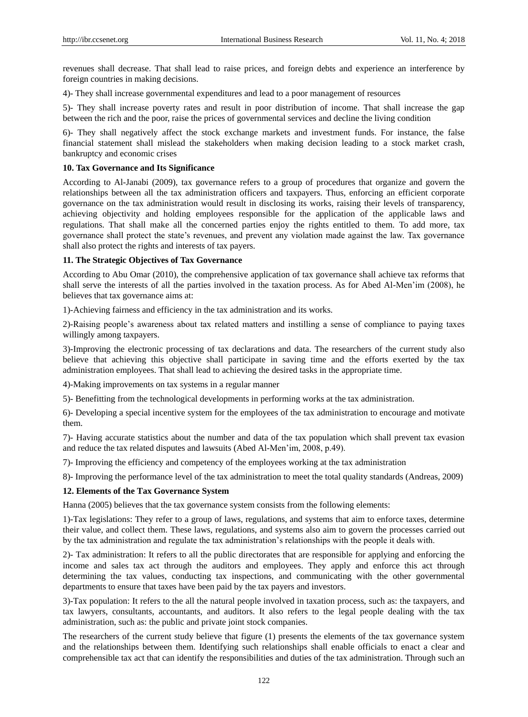revenues shall decrease. That shall lead to raise prices, and foreign debts and experience an interference by foreign countries in making decisions.

4)- They shall increase governmental expenditures and lead to a poor management of resources

5)- They shall increase poverty rates and result in poor distribution of income. That shall increase the gap between the rich and the poor, raise the prices of governmental services and decline the living condition

6)- They shall negatively affect the stock exchange markets and investment funds. For instance, the false financial statement shall mislead the stakeholders when making decision leading to a stock market crash, bankruptcy and economic crises

#### **10. Tax Governance and Its Significance**

According to Al-Janabi (2009), tax governance refers to a group of procedures that organize and govern the relationships between all the tax administration officers and taxpayers. Thus, enforcing an efficient corporate governance on the tax administration would result in disclosing its works, raising their levels of transparency, achieving objectivity and holding employees responsible for the application of the applicable laws and regulations. That shall make all the concerned parties enjoy the rights entitled to them. To add more, tax governance shall protect the state's revenues, and prevent any violation made against the law. Tax governance shall also protect the rights and interests of tax payers.

#### **11. The Strategic Objectives of Tax Governance**

According to Abu Omar (2010), the comprehensive application of tax governance shall achieve tax reforms that shall serve the interests of all the parties involved in the taxation process. As for Abed Al-Men'im (2008), he believes that tax governance aims at:

1)-Achieving fairness and efficiency in the tax administration and its works.

2)-Raising people's awareness about tax related matters and instilling a sense of compliance to paying taxes willingly among taxpayers.

3)-Improving the electronic processing of tax declarations and data. The researchers of the current study also believe that achieving this objective shall participate in saving time and the efforts exerted by the tax administration employees. That shall lead to achieving the desired tasks in the appropriate time.

4)-Making improvements on tax systems in a regular manner

5)- Benefitting from the technological developments in performing works at the tax administration.

6)- Developing a special incentive system for the employees of the tax administration to encourage and motivate them.

7)- Having accurate statistics about the number and data of the tax population which shall prevent tax evasion and reduce the tax related disputes and lawsuits (Abed Al-Men'im, 2008, p.49).

7)- Improving the efficiency and competency of the employees working at the tax administration

8)- Improving the performance level of the tax administration to meet the total quality standards (Andreas, 2009)

### **12. Elements of the Tax Governance System**

Hanna (2005) believes that the tax governance system consists from the following elements:

1)-Tax legislations: They refer to a group of laws, regulations, and systems that aim to enforce taxes, determine their value, and collect them. These laws, regulations, and systems also aim to govern the processes carried out by the tax administration and regulate the tax administration's relationships with the people it deals with.

2)- Tax administration: It refers to all the public directorates that are responsible for applying and enforcing the income and sales tax act through the auditors and employees. They apply and enforce this act through determining the tax values, conducting tax inspections, and communicating with the other governmental departments to ensure that taxes have been paid by the tax payers and investors.

3)-Tax population: It refers to the all the natural people involved in taxation process, such as: the taxpayers, and tax lawyers, consultants, accountants, and auditors. It also refers to the legal people dealing with the tax administration, such as: the public and private joint stock companies.

The researchers of the current study believe that figure (1) presents the elements of the tax governance system and the relationships between them. Identifying such relationships shall enable officials to enact a clear and comprehensible tax act that can identify the responsibilities and duties of the tax administration. Through such an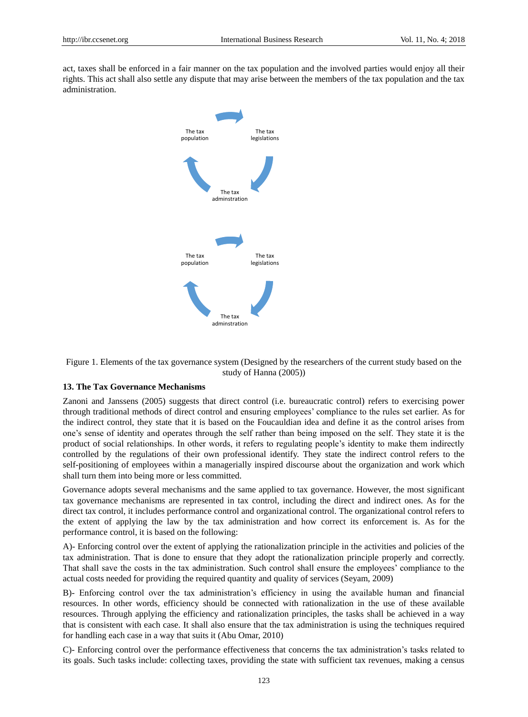act, taxes shall be enforced in a fair manner on the tax population and the involved parties would enjoy all their rights. This act shall also settle any dispute that may arise between the members of the tax population and the tax administration.





## **13. The Tax Governance Mechanisms**

Zanoni and Janssens (2005) suggests that direct control (i.e. bureaucratic control) refers to exercising power through traditional methods of direct control and ensuring employees' compliance to the rules set earlier. As for the indirect control, they state that it is based on the Foucauldian idea and define it as the control arises from one's sense of identity and operates through the self rather than being imposed on the self. They state it is the product of social relationships. In other words, it refers to regulating people's identity to make them indirectly controlled by the regulations of their own professional identify. They state the indirect control refers to the self-positioning of employees within a managerially inspired discourse about the organization and work which shall turn them into being more or less committed.

Governance adopts several mechanisms and the same applied to tax governance. However, the most significant tax governance mechanisms are represented in tax control, including the direct and indirect ones. As for the direct tax control, it includes performance control and organizational control. The organizational control refers to the extent of applying the law by the tax administration and how correct its enforcement is. As for the performance control, it is based on the following:

A)- Enforcing control over the extent of applying the rationalization principle in the activities and policies of the tax administration. That is done to ensure that they adopt the rationalization principle properly and correctly. That shall save the costs in the tax administration. Such control shall ensure the employees' compliance to the actual costs needed for providing the required quantity and quality of services (Seyam, 2009)

B)- Enforcing control over the tax administration's efficiency in using the available human and financial resources. In other words, efficiency should be connected with rationalization in the use of these available resources. Through applying the efficiency and rationalization principles, the tasks shall be achieved in a way that is consistent with each case. It shall also ensure that the tax administration is using the techniques required for handling each case in a way that suits it (Abu Omar, 2010)

C)- Enforcing control over the performance effectiveness that concerns the tax administration's tasks related to its goals. Such tasks include: collecting taxes, providing the state with sufficient tax revenues, making a census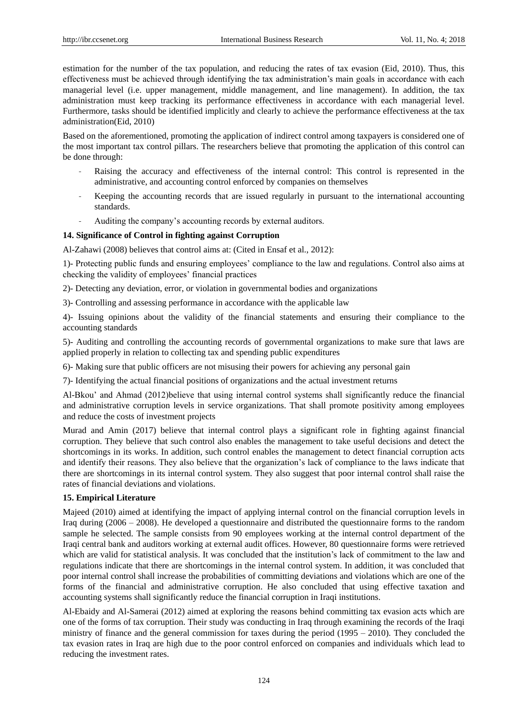estimation for the number of the tax population, and reducing the rates of tax evasion (Eid, 2010). Thus, this effectiveness must be achieved through identifying the tax administration's main goals in accordance with each managerial level (i.e. upper management, middle management, and line management). In addition, the tax administration must keep tracking its performance effectiveness in accordance with each managerial level. Furthermore, tasks should be identified implicitly and clearly to achieve the performance effectiveness at the tax administration(Eid, 2010)

Based on the aforementioned, promoting the application of indirect control among taxpayers is considered one of the most important tax control pillars. The researchers believe that promoting the application of this control can be done through:

- Raising the accuracy and effectiveness of the internal control: This control is represented in the administrative, and accounting control enforced by companies on themselves
- Keeping the accounting records that are issued regularly in pursuant to the international accounting standards.
- Auditing the company's accounting records by external auditors.

## **14. Significance of Control in fighting against Corruption**

Al-Zahawi (2008) believes that control aims at: (Cited in Ensaf et al., 2012):

1)- Protecting public funds and ensuring employees' compliance to the law and regulations. Control also aims at checking the validity of employees' financial practices

2)- Detecting any deviation, error, or violation in governmental bodies and organizations

3)- Controlling and assessing performance in accordance with the applicable law

4)- Issuing opinions about the validity of the financial statements and ensuring their compliance to the accounting standards

5)- Auditing and controlling the accounting records of governmental organizations to make sure that laws are applied properly in relation to collecting tax and spending public expenditures

6)- Making sure that public officers are not misusing their powers for achieving any personal gain

7)- Identifying the actual financial positions of organizations and the actual investment returns

Al-Bkou' and Ahmad (2012)believe that using internal control systems shall significantly reduce the financial and administrative corruption levels in service organizations. That shall promote positivity among employees and reduce the costs of investment projects

Murad and Amin (2017) believe that internal control plays a significant role in fighting against financial corruption. They believe that such control also enables the management to take useful decisions and detect the shortcomings in its works. In addition, such control enables the management to detect financial corruption acts and identify their reasons. They also believe that the organization's lack of compliance to the laws indicate that there are shortcomings in its internal control system. They also suggest that poor internal control shall raise the rates of financial deviations and violations.

## **15. Empirical Literature**

Majeed (2010) aimed at identifying the impact of applying internal control on the financial corruption levels in Iraq during (2006 – 2008). He developed a questionnaire and distributed the questionnaire forms to the random sample he selected. The sample consists from 90 employees working at the internal control department of the Iraqi central bank and auditors working at external audit offices. However, 80 questionnaire forms were retrieved which are valid for statistical analysis. It was concluded that the institution's lack of commitment to the law and regulations indicate that there are shortcomings in the internal control system. In addition, it was concluded that poor internal control shall increase the probabilities of committing deviations and violations which are one of the forms of the financial and administrative corruption. He also concluded that using effective taxation and accounting systems shall significantly reduce the financial corruption in Iraqi institutions.

Al-Ebaidy and Al-Samerai (2012) aimed at exploring the reasons behind committing tax evasion acts which are one of the forms of tax corruption. Their study was conducting in Iraq through examining the records of the Iraqi ministry of finance and the general commission for taxes during the period (1995 – 2010). They concluded the tax evasion rates in Iraq are high due to the poor control enforced on companies and individuals which lead to reducing the investment rates.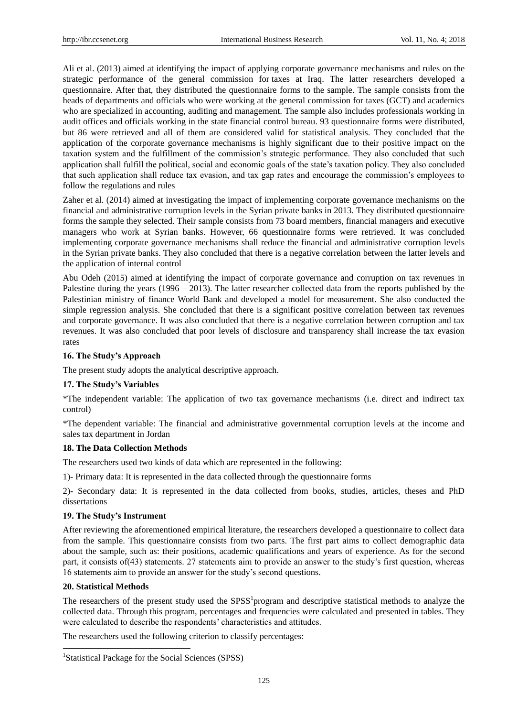Ali et al. (2013) aimed at identifying the impact of applying corporate governance mechanisms and rules on the strategic performance of the general commission for taxes at Iraq. The latter researchers developed a questionnaire. After that, they distributed the questionnaire forms to the sample. The sample consists from the heads of departments and officials who were working at the general commission for taxes (GCT) and academics who are specialized in accounting, auditing and management. The sample also includes professionals working in audit offices and officials working in the state financial control bureau. 93 questionnaire forms were distributed, but 86 were retrieved and all of them are considered valid for statistical analysis. They concluded that the application of the corporate governance mechanisms is highly significant due to their positive impact on the taxation system and the fulfillment of the commission's strategic performance. They also concluded that such application shall fulfill the political, social and economic goals of the state's taxation policy. They also concluded that such application shall reduce tax evasion, and tax gap rates and encourage the commission's employees to follow the regulations and rules

Zaher et al. (2014) aimed at investigating the impact of implementing corporate governance mechanisms on the financial and administrative corruption levels in the Syrian private banks in 2013. They distributed questionnaire forms the sample they selected. Their sample consists from 73 board members, financial managers and executive managers who work at Syrian banks. However, 66 questionnaire forms were retrieved. It was concluded implementing corporate governance mechanisms shall reduce the financial and administrative corruption levels in the Syrian private banks. They also concluded that there is a negative correlation between the latter levels and the application of internal control

Abu Odeh (2015) aimed at identifying the impact of corporate governance and corruption on tax revenues in Palestine during the years (1996 – 2013). The latter researcher collected data from the reports published by the Palestinian ministry of finance World Bank and developed a model for measurement. She also conducted the simple regression analysis. She concluded that there is a significant positive correlation between tax revenues and corporate governance. It was also concluded that there is a negative correlation between corruption and tax revenues. It was also concluded that poor levels of disclosure and transparency shall increase the tax evasion rates

## **16. The Study's Approach**

The present study adopts the analytical descriptive approach.

## **17. The Study's Variables**

\*The independent variable: The application of two tax governance mechanisms (i.e. direct and indirect tax control)

\*The dependent variable: The financial and administrative governmental corruption levels at the income and sales tax department in Jordan

## **18. The Data Collection Methods**

The researchers used two kinds of data which are represented in the following:

1)- Primary data: It is represented in the data collected through the questionnaire forms

2)- Secondary data: It is represented in the data collected from books, studies, articles, theses and PhD dissertations

## **19. The Study's Instrument**

After reviewing the aforementioned empirical literature, the researchers developed a questionnaire to collect data from the sample. This questionnaire consists from two parts. The first part aims to collect demographic data about the sample, such as: their positions, academic qualifications and years of experience. As for the second part, it consists of(43) statements. 27 statements aim to provide an answer to the study's first question, whereas 16 statements aim to provide an answer for the study's second questions.

## **20. Statistical Methods**

-

The researchers of the present study used the SPSS<sup>1</sup> program and descriptive statistical methods to analyze the collected data. Through this program, percentages and frequencies were calculated and presented in tables. They were calculated to describe the respondents' characteristics and attitudes.

The researchers used the following criterion to classify percentages:

<sup>&</sup>lt;sup>1</sup>Statistical Package for the Social Sciences (SPSS)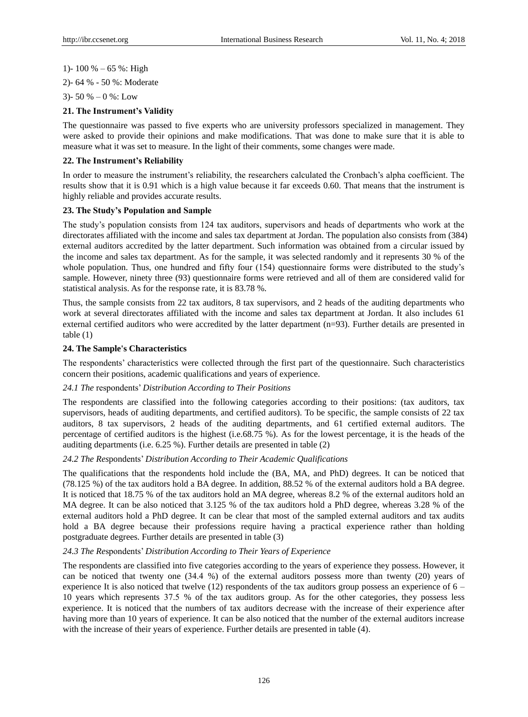1)- 100 % – 65 %: High

2)- 64 % - 50 %: Moderate

3)- 50 % – 0 %: Low

## **21. The Instrument's Validity**

The questionnaire was passed to five experts who are university professors specialized in management. They were asked to provide their opinions and make modifications. That was done to make sure that it is able to measure what it was set to measure. In the light of their comments, some changes were made.

## **22. The Instrument's Reliability**

In order to measure the instrument's reliability, the researchers calculated the Cronbach's alpha coefficient. The results show that it is 0.91 which is a high value because it far exceeds 0.60. That means that the instrument is highly reliable and provides accurate results.

## **23. The Study's Population and Sample**

The study's population consists from 124 tax auditors, supervisors and heads of departments who work at the directorates affiliated with the income and sales tax department at Jordan. The population also consists from (384) external auditors accredited by the latter department. Such information was obtained from a circular issued by the income and sales tax department. As for the sample, it was selected randomly and it represents 30 % of the whole population. Thus, one hundred and fifty four (154) questionnaire forms were distributed to the study's sample. However, ninety three (93) questionnaire forms were retrieved and all of them are considered valid for statistical analysis. As for the response rate, it is 83.78 %.

Thus, the sample consists from 22 tax auditors, 8 tax supervisors, and 2 heads of the auditing departments who work at several directorates affiliated with the income and sales tax department at Jordan. It also includes 61 external certified auditors who were accredited by the latter department (n=93). Further details are presented in table (1)

## **24. The Sample's Characteristics**

The respondents' characteristics were collected through the first part of the questionnaire. Such characteristics concern their positions, academic qualifications and years of experience.

#### *24.1 The* respondents' *Distribution According to Their Positions*

The respondents are classified into the following categories according to their positions: (tax auditors, tax supervisors, heads of auditing departments, and certified auditors). To be specific, the sample consists of 22 tax auditors, 8 tax supervisors, 2 heads of the auditing departments, and 61 certified external auditors. The percentage of certified auditors is the highest (i.e.68.75 %). As for the lowest percentage, it is the heads of the auditing departments (i.e. 6.25 %). Further details are presented in table (2)

#### *24.2 The Res*pondents' *Distribution According to Their Academic Qualifications*

The qualifications that the respondents hold include the (BA, MA, and PhD) degrees. It can be noticed that (78.125 %) of the tax auditors hold a BA degree. In addition, 88.52 % of the external auditors hold a BA degree. It is noticed that 18.75 % of the tax auditors hold an MA degree, whereas 8.2 % of the external auditors hold an MA degree. It can be also noticed that 3.125 % of the tax auditors hold a PhD degree, whereas 3.28 % of the external auditors hold a PhD degree. It can be clear that most of the sampled external auditors and tax audits hold a BA degree because their professions require having a practical experience rather than holding postgraduate degrees. Further details are presented in table (3)

## *24.3 The Re*spondents' *Distribution According to Their Years of Experience*

The respondents are classified into five categories according to the years of experience they possess. However, it can be noticed that twenty one (34.4 %) of the external auditors possess more than twenty (20) years of experience It is also noticed that twelve (12) respondents of the tax auditors group possess an experience of 6 – 10 years which represents 37.5 % of the tax auditors group. As for the other categories, they possess less experience. It is noticed that the numbers of tax auditors decrease with the increase of their experience after having more than 10 years of experience. It can be also noticed that the number of the external auditors increase with the increase of their years of experience. Further details are presented in table (4).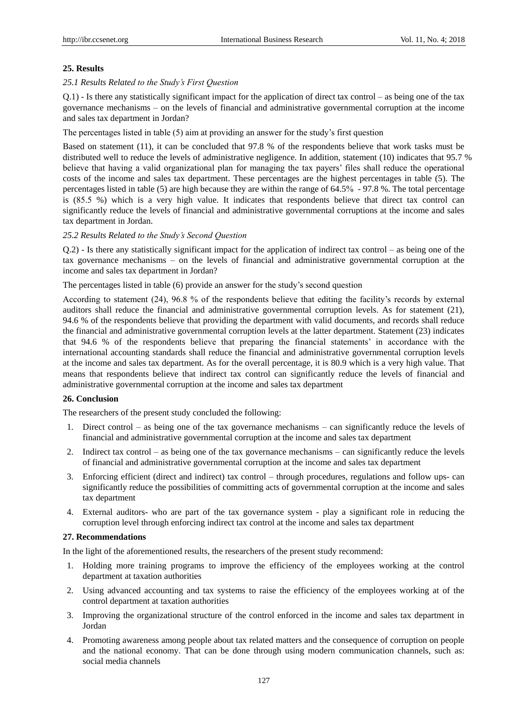#### **25. Results**

#### *25.1 Results Related to the Study's First Question*

Q.1) - Is there any statistically significant impact for the application of direct tax control – as being one of the tax governance mechanisms – on the levels of financial and administrative governmental corruption at the income and sales tax department in Jordan?

The percentages listed in table (5) aim at providing an answer for the study's first question

Based on statement (11), it can be concluded that 97.8 % of the respondents believe that work tasks must be distributed well to reduce the levels of administrative negligence. In addition, statement (10) indicates that 95.7 % believe that having a valid organizational plan for managing the tax payers' files shall reduce the operational costs of the income and sales tax department. These percentages are the highest percentages in table (5). The percentages listed in table (5) are high because they are within the range of 64.5% - 97.8 %. The total percentage is (85.5 %) which is a very high value. It indicates that respondents believe that direct tax control can significantly reduce the levels of financial and administrative governmental corruptions at the income and sales tax department in Jordan.

#### *25.2 Results Related to the Study's Second Question*

Q.2) - Is there any statistically significant impact for the application of indirect tax control – as being one of the tax governance mechanisms – on the levels of financial and administrative governmental corruption at the income and sales tax department in Jordan?

The percentages listed in table (6) provide an answer for the study's second question

According to statement (24), 96.8 % of the respondents believe that editing the facility's records by external auditors shall reduce the financial and administrative governmental corruption levels. As for statement (21), 94.6 % of the respondents believe that providing the department with valid documents, and records shall reduce the financial and administrative governmental corruption levels at the latter department. Statement (23) indicates that 94.6 % of the respondents believe that preparing the financial statements' in accordance with the international accounting standards shall reduce the financial and administrative governmental corruption levels at the income and sales tax department. As for the overall percentage, it is 80.9 which is a very high value. That means that respondents believe that indirect tax control can significantly reduce the levels of financial and administrative governmental corruption at the income and sales tax department

#### **26. Conclusion**

The researchers of the present study concluded the following:

- 1. Direct control as being one of the tax governance mechanisms can significantly reduce the levels of financial and administrative governmental corruption at the income and sales tax department
- 2. Indirect tax control as being one of the tax governance mechanisms can significantly reduce the levels of financial and administrative governmental corruption at the income and sales tax department
- 3. Enforcing efficient (direct and indirect) tax control through procedures, regulations and follow ups- can significantly reduce the possibilities of committing acts of governmental corruption at the income and sales tax department
- 4. External auditors- who are part of the tax governance system play a significant role in reducing the corruption level through enforcing indirect tax control at the income and sales tax department

#### **27. Recommendations**

In the light of the aforementioned results, the researchers of the present study recommend:

- 1. Holding more training programs to improve the efficiency of the employees working at the control department at taxation authorities
- 2. Using advanced accounting and tax systems to raise the efficiency of the employees working at of the control department at taxation authorities
- 3. Improving the organizational structure of the control enforced in the income and sales tax department in Jordan
- 4. Promoting awareness among people about tax related matters and the consequence of corruption on people and the national economy. That can be done through using modern communication channels, such as: social media channels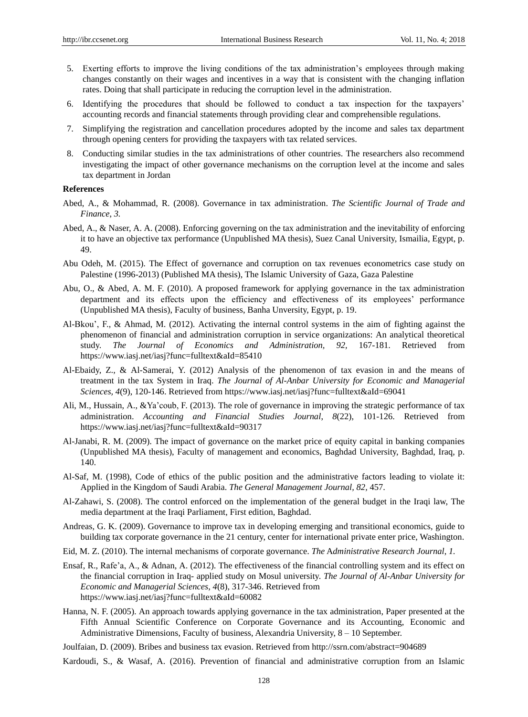- 5. Exerting efforts to improve the living conditions of the tax administration's employees through making changes constantly on their wages and incentives in a way that is consistent with the changing inflation rates. Doing that shall participate in reducing the corruption level in the administration.
- 6. Identifying the procedures that should be followed to conduct a tax inspection for the taxpayers' accounting records and financial statements through providing clear and comprehensible regulations.
- 7. Simplifying the registration and cancellation procedures adopted by the income and sales tax department through opening centers for providing the taxpayers with tax related services.
- 8. Conducting similar studies in the tax administrations of other countries. The researchers also recommend investigating the impact of other governance mechanisms on the corruption level at the income and sales tax department in Jordan

#### **References**

- Abed, A., & Mohammad, R. (2008). Governance in tax administration. *The Scientific Journal of Trade and Finance*, *3.*
- Abed, A., & Naser, A. A. (2008). Enforcing governing on the tax administration and the inevitability of enforcing it to have an objective tax performance (Unpublished MA thesis), Suez Canal University, Ismailia, Egypt, p. 49.
- Abu Odeh, M. (2015). The Effect of governance and corruption on tax revenues econometrics case study on Palestine (1996-2013) (Published MA thesis), The Islamic University of Gaza, Gaza Palestine
- Abu, O., & Abed, A. M. F. (2010). A proposed framework for applying governance in the tax administration department and its effects upon the efficiency and effectiveness of its employees' performance (Unpublished MA thesis), Faculty of business, Banha Unversity, Egypt, p. 19.
- Al-Bkou', F., & Ahmad, M. (2012). Activating the internal control systems in the aim of fighting against the phenomenon of financial and administration corruption in service organizations: An analytical theoretical study. *The Journal of Economics and Administration, 92,* 167-181. Retrieved from <https://www.iasj.net/iasj?func=fulltext&aId=85410>
- Al-Ebaidy, Z., & Al-Samerai, Y. (2012) Analysis of the phenomenon of tax evasion in and the means of treatment in the tax System in Iraq. *The Journal of Al-Anbar University for Economic and Managerial Sciences, 4*(9), 120-146. Retrieved from <https://www.iasj.net/iasj?func=fulltext&aId=69041>
- Ali, M., Hussain, A., &Ya'coub, F. (2013). The role of governance in improving the strategic performance of tax administration. *Accounting and Financial Studies Journal*, *8*(22), 101-126. Retrieved from <https://www.iasj.net/iasj?func=fulltext&aId=90317>
- Al-Janabi, R. M. (2009). The impact of governance on the market price of equity capital in banking companies (Unpublished MA thesis), Faculty of management and economics, Baghdad University, Baghdad, Iraq, p. 140.
- Al-Saf, M. (1998), Code of ethics of the public position and the administrative factors leading to violate it: Applied in the Kingdom of Saudi Arabia. *The General Management Journal, 82,* 457.
- Al-Zahawi, S. (2008). The control enforced on the implementation of the general budget in the Iraqi law, The media department at the Iraqi Parliament, First edition, Baghdad.
- Andreas, G. K. (2009). Governance to improve tax in developing emerging and transitional economics, guide to building tax corporate governance in the 21 century, center for international private enter price, Washington.
- Eid, M. Z. (2010). The internal mechanisms of corporate governance. *The* A*dministrative Research Journal*, *1.*
- Ensaf, R., Rafe'a, A., & Adnan, A. (2012). The effectiveness of the financial controlling system and its effect on the financial corruption in Iraq- applied study on Mosul university. *The Journal of Al-Anbar University for Economic and Managerial Sciences*, *4*(8), 317-346. Retrieved from <https://www.iasj.net/iasj?func=fulltext&aId=60082>
- Hanna, N. F. (2005). An approach towards applying governance in the tax administration, Paper presented at the Fifth Annual Scientific Conference on Corporate Governance and its Accounting, Economic and Administrative Dimensions, Faculty of business, Alexandria University, 8 – 10 September.
- Joulfaian, D. (2009). Bribes and business tax evasion. Retrieved from <http://ssrn.com/abstract=904689>
- Kardoudi, S., & Wasaf, A. (2016). Prevention of financial and administrative corruption from an Islamic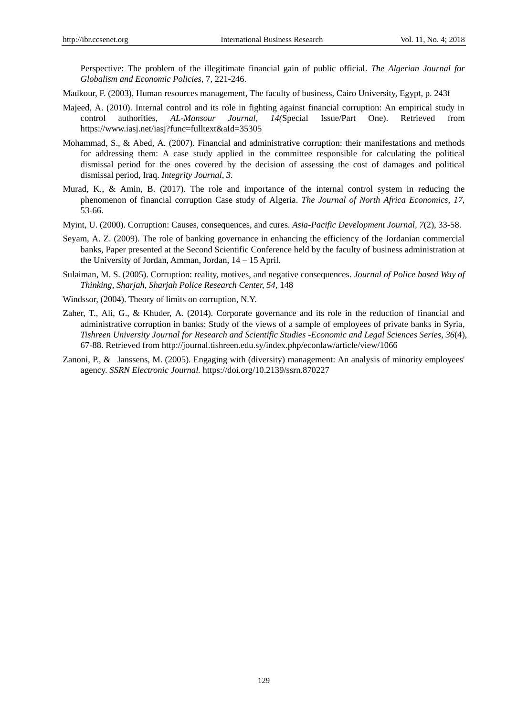Perspective: The problem of the illegitimate financial gain of public official. *The Algerian Journal for Globalism and Economic Policies*, 7, 221-246.

- Madkour, F. (2003), Human resources management, The faculty of business, Cairo University, Egypt, p. 243f
- Majeed, A. (2010). Internal control and its role in fighting against financial corruption: An empirical study in control authorities, *AL-Mansour Journal, 14(*Special Issue/Part One). Retrieved from <https://www.iasj.net/iasj?func=fulltext&aId=35305>
- Mohammad, S., & Abed, A. (2007). Financial and administrative corruption: their manifestations and methods for addressing them: A case study applied in the committee responsible for calculating the political dismissal period for the ones covered by the decision of assessing the cost of damages and political dismissal period, Iraq. *Integrity Journal*, *3.*
- Murad, K., & Amin, B. (2017). The role and importance of the internal control system in reducing the phenomenon of financial corruption Case study of Algeria. *The Journal of North Africa Economics*, *17,*  53-66.
- Myint, U. (2000). Corruption: Causes, consequences, and cures. *Asia-Pacific Development Journal, 7*(2), 33-58.
- Seyam, A. Z. (2009). The role of banking governance in enhancing the efficiency of the Jordanian commercial banks, Paper presented at the Second Scientific Conference held by the faculty of business administration at the University of Jordan, Amman, Jordan, 14 – 15 April.
- Sulaiman, M. S. (2005). Corruption: reality, motives, and negative consequences. *Journal of Police based Way of Thinking, Sharjah, Sharjah Police Research Center, 54,* 148
- Windssor, (2004). Theory of limits on corruption, N.Y.
- Zaher, T., Ali, G., & Khuder, A. (2014). Corporate governance and its role in the reduction of financial and administrative corruption in banks: Study of the views of a sample of employees of private banks in Syria, *Tishreen University Journal for Research and Scientific Studies -Economic and Legal Sciences Series*, *36*(4), 67-88. Retrieved from <http://journal.tishreen.edu.sy/index.php/econlaw/article/view/1066>
- [Zanoni,](https://papers.ssrn.com/sol3/cf_dev/AbsByAuth.cfm?per_id=359204) P., & [Janssens,](https://papers.ssrn.com/sol3/cf_dev/AbsByAuth.cfm?per_id=114526) M. (2005). Engaging with (diversity) management: An analysis of minority employees' agency. *SSRN Electronic Journal.* https://doi.org/10.2139/ssrn.870227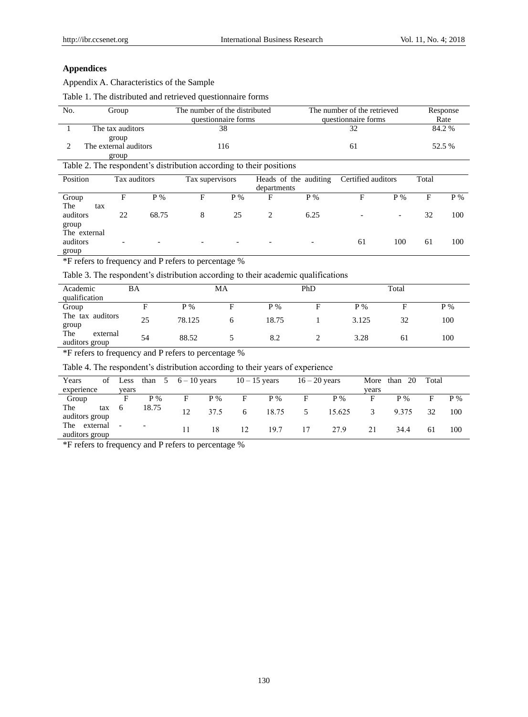## **Appendices**

Appendix A. Characteristics of the Sample

Table 1. The distributed and retrieved questionnaire forms

| No. | Group                 | The number of the distributed | The number of the retrieved | Response |
|-----|-----------------------|-------------------------------|-----------------------------|----------|
|     |                       | questionnaire forms           | questionnaire forms         | Rate     |
|     | The tax auditors      | 38                            |                             | 84.2 %   |
|     | group                 |                               |                             |          |
|     | The external auditors | 16                            | 61                          | 52.5 %   |
|     | group                 |                               |                             |          |

Table 2. The respondent's distribution according to their positions

| Position     | Tax auditors             |       | Tax supervisors |                          | departments              | Heads of the auditing    | Certified auditors |                          | Total |       |
|--------------|--------------------------|-------|-----------------|--------------------------|--------------------------|--------------------------|--------------------|--------------------------|-------|-------|
| Group        | F                        | P%    | F               | $P\%$                    | F                        | $P\%$                    | F                  | $P\%$                    | F     | $P\%$ |
| The<br>tax   |                          |       |                 |                          |                          |                          |                    |                          |       |       |
| auditors     | 22                       | 68.75 | 8               | 25                       |                          | 6.25                     |                    | $\overline{\phantom{a}}$ | 32    | 100   |
| group        |                          |       |                 |                          |                          |                          |                    |                          |       |       |
| The external |                          |       |                 |                          |                          |                          |                    |                          |       |       |
| auditors     | $\overline{\phantom{0}}$ | -     | -               | $\overline{\phantom{a}}$ | $\overline{\phantom{a}}$ | $\overline{\phantom{0}}$ | 61                 | 100                      | 61    | 100   |
| group        |                          |       |                 |                          |                          |                          |                    |                          |       |       |

\*F refers to frequency and P refers to percentage %

Table 3. The respondent's distribution according to their academic qualifications

| Academic<br>qualification         | ВA |        | MA |       | PhD |       | Total |     |
|-----------------------------------|----|--------|----|-------|-----|-------|-------|-----|
| Group                             | F  | $P\%$  |    | P %   |     | $P\%$ |       | P%  |
| The tax auditors<br>group         | 25 | 78.125 |    | 18.75 |     | 3.125 | 32    | 100 |
| The<br>external<br>auditors group | 54 | 88.52  |    | 8.2   |     | 3.28  | 61    | 100 |

\*F refers to frequency and P refers to percentage %

Table 4. The respondent's distribution according to their years of experience

| Years<br>οf                       | Less                     | than $5\quad 6-10$ years |    |       | $10 - 15$ years |       | $16 - 20$ years |        | More  | 20<br>than | Total |       |
|-----------------------------------|--------------------------|--------------------------|----|-------|-----------------|-------|-----------------|--------|-------|------------|-------|-------|
| experience                        | years                    |                          |    |       |                 |       |                 |        | years |            |       |       |
| Group                             | F                        | P%                       | F  | $P\%$ | F               | $P\%$ | F               | $P\%$  | F     | $P\%$      | F     | $P\%$ |
| The<br>tax<br>auditors group      | O                        | 18.75                    | 12 | 37.5  | 6               | 18.75 | 5               | 15.625 |       | 9.375      | 32    | 100   |
| The<br>external<br>auditors group | $\overline{\phantom{0}}$ | $\overline{\phantom{0}}$ |    | 18    | 12              | 19.7  | 17              | 27.9   | 21    | 34.4       | 61    | 100   |

\*F refers to frequency and P refers to percentage %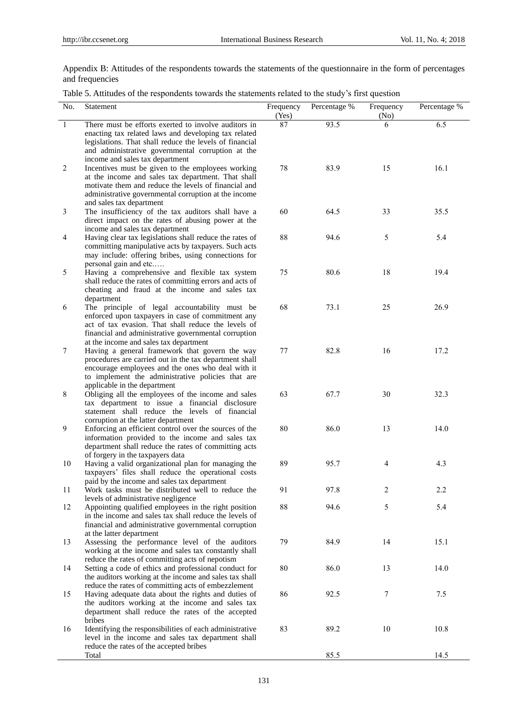Appendix B: Attitudes of the respondents towards the statements of the questionnaire in the form of percentages and frequencies

| Table 5. Attitudes of the respondents towards the statements related to the study's first question |  |  |
|----------------------------------------------------------------------------------------------------|--|--|
|----------------------------------------------------------------------------------------------------|--|--|

| No.              | Statement                                                                                                                                                                                                                                                       | Frequency<br>(Yes) | Percentage % | Frequency<br>(No) | Percentage % |
|------------------|-----------------------------------------------------------------------------------------------------------------------------------------------------------------------------------------------------------------------------------------------------------------|--------------------|--------------|-------------------|--------------|
| 1                | There must be efforts exerted to involve auditors in<br>enacting tax related laws and developing tax related<br>legislations. That shall reduce the levels of financial<br>and administrative governmental corruption at the<br>income and sales tax department | 87                 | 93.5         | 6                 | 6.5          |
| $\overline{c}$   | Incentives must be given to the employees working<br>at the income and sales tax department. That shall<br>motivate them and reduce the levels of financial and<br>administrative governmental corruption at the income<br>and sales tax department             | 78                 | 83.9         | 15                | 16.1         |
| 3                | The insufficiency of the tax auditors shall have a<br>direct impact on the rates of abusing power at the<br>income and sales tax department                                                                                                                     | 60                 | 64.5         | 33                | 35.5         |
| 4                | Having clear tax legislations shall reduce the rates of<br>committing manipulative acts by taxpayers. Such acts<br>may include: offering bribes, using connections for<br>personal gain and etc                                                                 | 88                 | 94.6         | 5                 | 5.4          |
| 5                | Having a comprehensive and flexible tax system<br>shall reduce the rates of committing errors and acts of<br>cheating and fraud at the income and sales tax<br>department                                                                                       | 75                 | 80.6         | 18                | 19.4         |
| 6                | The principle of legal accountability must be<br>enforced upon taxpayers in case of commitment any<br>act of tax evasion. That shall reduce the levels of<br>financial and administrative governmental corruption<br>at the income and sales tax department     | 68                 | 73.1         | 25                | 26.9         |
| $\boldsymbol{7}$ | Having a general framework that govern the way<br>procedures are carried out in the tax department shall<br>encourage employees and the ones who deal with it<br>to implement the administrative policies that are<br>applicable in the department              | 77                 | 82.8         | 16                | 17.2         |
| 8                | Obliging all the employees of the income and sales<br>tax department to issue a financial disclosure<br>statement shall reduce the levels of financial<br>corruption at the latter department                                                                   | 63                 | 67.7         | 30                | 32.3         |
| 9                | Enforcing an efficient control over the sources of the<br>information provided to the income and sales tax<br>department shall reduce the rates of committing acts<br>of forgery in the taxpayers data                                                          | 80                 | 86.0         | 13                | 14.0         |
| 10               | Having a valid organizational plan for managing the<br>taxpayers' files shall reduce the operational costs<br>paid by the income and sales tax department                                                                                                       | 89                 | 95.7         | 4                 | 4.3          |
| 11               | Work tasks must be distributed well to reduce the<br>levels of administrative negligence                                                                                                                                                                        | 91                 | 97.8         | 2                 | 2.2          |
| 12               | Appointing qualified employees in the right position<br>in the income and sales tax shall reduce the levels of<br>financial and administrative governmental corruption<br>at the latter department                                                              | 88                 | 94.6         | 5                 | 5.4          |
| 13               | Assessing the performance level of the auditors<br>working at the income and sales tax constantly shall<br>reduce the rates of committing acts of nepotism                                                                                                      | 79                 | 84.9         | 14                | 15.1         |
| 14               | Setting a code of ethics and professional conduct for<br>the auditors working at the income and sales tax shall                                                                                                                                                 | 80                 | 86.0         | 13                | 14.0         |
| 15               | reduce the rates of committing acts of embezzlement<br>Having adequate data about the rights and duties of<br>the auditors working at the income and sales tax<br>department shall reduce the rates of the accepted<br>bribes                                   | 86                 | 92.5         | 7                 | 7.5          |
| 16               | Identifying the responsibilities of each administrative<br>level in the income and sales tax department shall<br>reduce the rates of the accepted bribes                                                                                                        | 83                 | 89.2         | 10                | 10.8         |
|                  | Total                                                                                                                                                                                                                                                           |                    | 85.5         |                   | 14.5         |